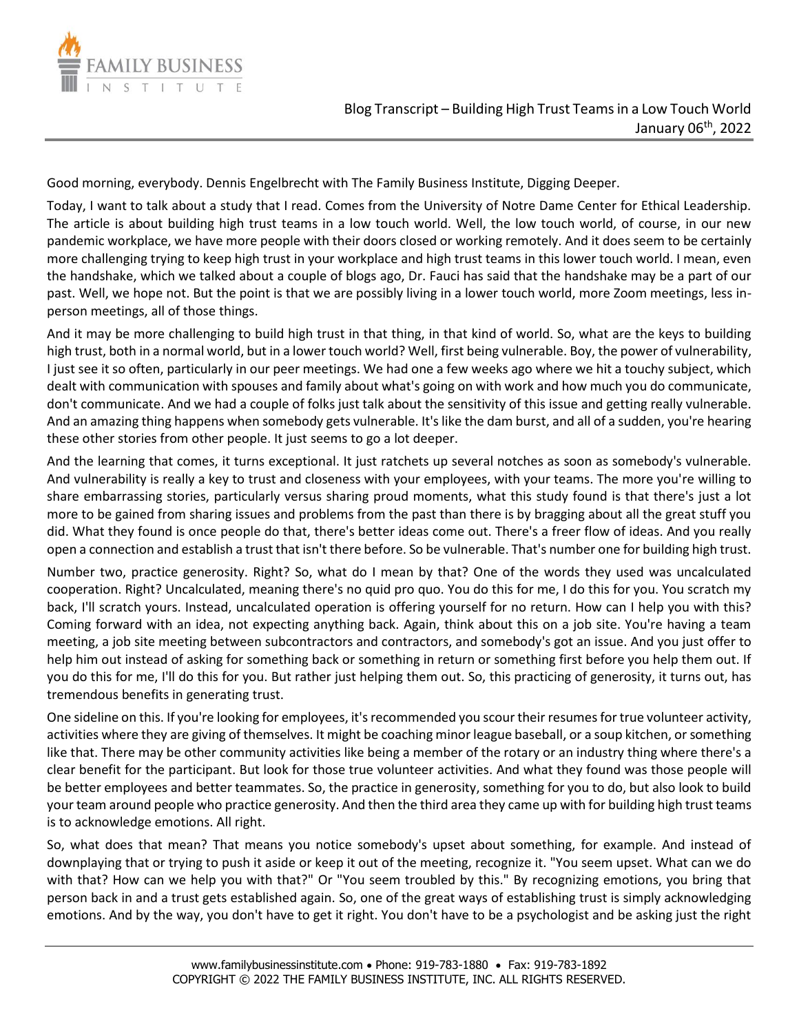

Good morning, everybody. Dennis Engelbrecht with The Family Business Institute, Digging Deeper.

Today, I want to talk about a study that I read. Comes from the University of Notre Dame Center for Ethical Leadership. The article is about building high trust teams in a low touch world. Well, the low touch world, of course, in our new pandemic workplace, we have more people with their doors closed or working remotely. And it does seem to be certainly more challenging trying to keep high trust in your workplace and high trust teams in this lower touch world. I mean, even the handshake, which we talked about a couple of blogs ago, Dr. Fauci has said that the handshake may be a part of our past. Well, we hope not. But the point is that we are possibly living in a lower touch world, more Zoom meetings, less inperson meetings, all of those things.

And it may be more challenging to build high trust in that thing, in that kind of world. So, what are the keys to building high trust, both in a normal world, but in a lower touch world? Well, first being vulnerable. Boy, the power of vulnerability, I just see it so often, particularly in our peer meetings. We had one a few weeks ago where we hit a touchy subject, which dealt with communication with spouses and family about what's going on with work and how much you do communicate, don't communicate. And we had a couple of folks just talk about the sensitivity of this issue and getting really vulnerable. And an amazing thing happens when somebody gets vulnerable. It's like the dam burst, and all of a sudden, you're hearing these other stories from other people. It just seems to go a lot deeper.

And the learning that comes, it turns exceptional. It just ratchets up several notches as soon as somebody's vulnerable. And vulnerability is really a key to trust and closeness with your employees, with your teams. The more you're willing to share embarrassing stories, particularly versus sharing proud moments, what this study found is that there's just a lot more to be gained from sharing issues and problems from the past than there is by bragging about all the great stuff you did. What they found is once people do that, there's better ideas come out. There's a freer flow of ideas. And you really open a connection and establish a trust that isn't there before. So be vulnerable. That's number one for building high trust.

Number two, practice generosity. Right? So, what do I mean by that? One of the words they used was uncalculated cooperation. Right? Uncalculated, meaning there's no quid pro quo. You do this for me, I do this for you. You scratch my back, I'll scratch yours. Instead, uncalculated operation is offering yourself for no return. How can I help you with this? Coming forward with an idea, not expecting anything back. Again, think about this on a job site. You're having a team meeting, a job site meeting between subcontractors and contractors, and somebody's got an issue. And you just offer to help him out instead of asking for something back or something in return or something first before you help them out. If you do this for me, I'll do this for you. But rather just helping them out. So, this practicing of generosity, it turns out, has tremendous benefits in generating trust.

One sideline on this. If you're looking for employees, it's recommended you scour their resumes for true volunteer activity, activities where they are giving of themselves. It might be coaching minor league baseball, or a soup kitchen, or something like that. There may be other community activities like being a member of the rotary or an industry thing where there's a clear benefit for the participant. But look for those true volunteer activities. And what they found was those people will be better employees and better teammates. So, the practice in generosity, something for you to do, but also look to build your team around people who practice generosity. And then the third area they came up with for building high trust teams is to acknowledge emotions. All right.

So, what does that mean? That means you notice somebody's upset about something, for example. And instead of downplaying that or trying to push it aside or keep it out of the meeting, recognize it. "You seem upset. What can we do with that? How can we help you with that?" Or "You seem troubled by this." By recognizing emotions, you bring that person back in and a trust gets established again. So, one of the great ways of establishing trust is simply acknowledging emotions. And by the way, you don't have to get it right. You don't have to be a psychologist and be asking just the right